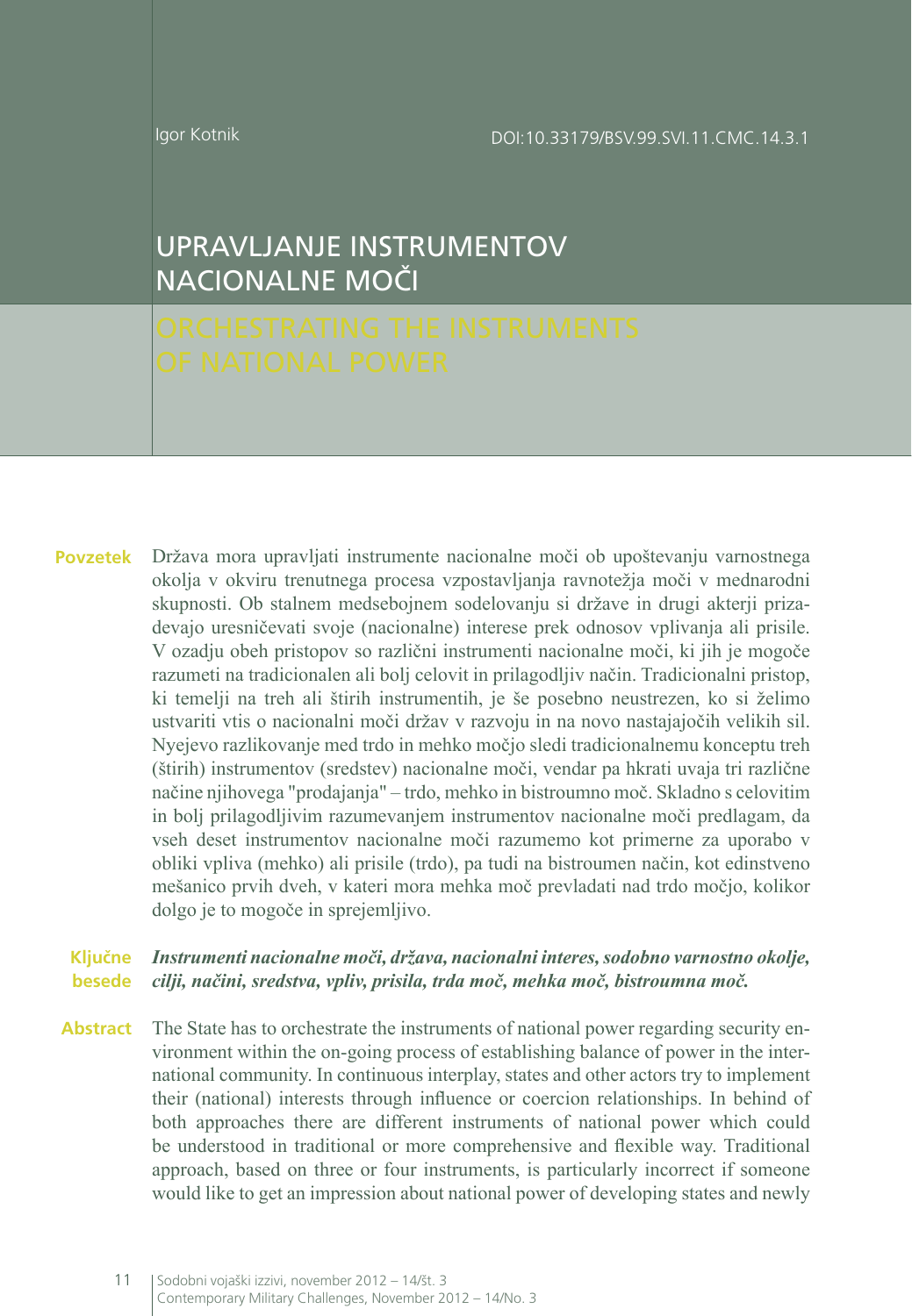DOI:10.33179/BSV.99.SVI.11.CMC.14.3.1

Igor Kotnik

# UPRAVLJANJE INSTRUMENTOV NACIONALNE MOČI

Država mora upravljati instrumente nacionalne moči ob upoštevanju varnostnega okolja v okviru trenutnega procesa vzpostavljanja ravnotežja moči v mednarodni skupnosti. Ob stalnem medsebojnem sodelovanju si države in drugi akterji prizadevajo uresničevati svoje (nacionalne) interese prek odnosov vplivanja ali prisile. V ozadju obeh pristopov so različni instrumenti nacionalne moči, ki jih je mogoče razumeti na tradicionalen ali bolj celovit in prilagodljiv način. Tradicionalni pristop, ki temelji na treh ali štirih instrumentih, je še posebno neustrezen, ko si želimo ustvariti vtis o nacionalni moči držav v razvoju in na novo nastajajočih velikih sil. Nyejevo razlikovanje med trdo in mehko močjo sledi tradicionalnemu konceptu treh (štirih) instrumentov (sredstev) nacionalne moči, vendar pa hkrati uvaja tri različne načine njihovega "prodajanja" – trdo, mehko in bistroumno moč. Skladno s celovitim in bolj prilagodljivim razumevanjem instrumentov nacionalne moči predlagam, da vseh deset instrumentov nacionalne moči razumemo kot primerne za uporabo v obliki vpliva (mehko) ali prisile (trdo), pa tudi na bistroumen način, kot edinstveno mešanico prvih dveh, v kateri mora mehka moč prevladati nad trdo močjo, kolikor dolgo je to mogoče in sprejemljivo. **Povzetek**

#### *Instrumenti nacionalne moči, država, nacionalni interes, sodobno varnostno okolje, cilji, načini, sredstva, vpliv, prisila, trda moč, mehka moč, bistroumna moč.* **besede Ključne**

**Abstract** The State has to orchestrate the instruments of national power regarding security environment within the on-going process of establishing balance of power in the international community. In continuous interplay, states and other actors try to implement their (national) interests through influence or coercion relationships. In behind of both approaches there are different instruments of national power which could be understood in traditional or more comprehensive and flexible way. Traditional approach, based on three or four instruments, is particularly incorrect if someone would like to get an impression about national power of developing states and newly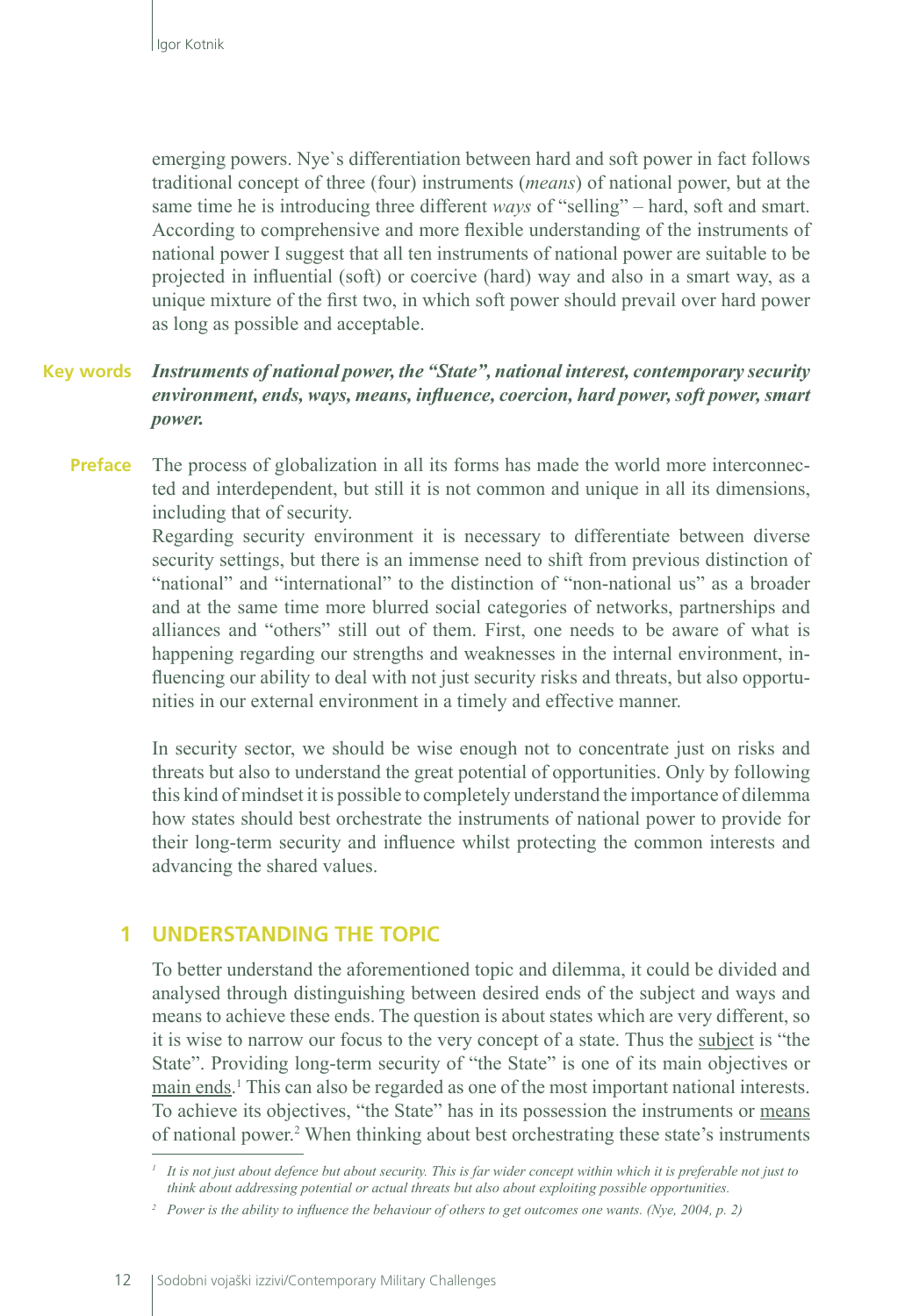emerging powers. Nye`s differentiation between hard and soft power in fact follows traditional concept of three (four) instruments (*means*) of national power, but at the same time he is introducing three different *ways* of "selling" – hard, soft and smart. According to comprehensive and more flexible understanding of the instruments of national power I suggest that all ten instruments of national power are suitable to be projected in influential (soft) or coercive (hard) way and also in a smart way, as a unique mixture of the first two, in which soft power should prevail over hard power as long as possible and acceptable.

#### *Instruments of national power, the "State", national interest, contemporary security environment, ends, ways, means, influence, coercion, hard power, soft power, smart power.*  **Key words**

The process of globalization in all its forms has made the world more interconnected and interdependent, but still it is not common and unique in all its dimensions, including that of security. **Preface**

> Regarding security environment it is necessary to differentiate between diverse security settings, but there is an immense need to shift from previous distinction of "national" and "international" to the distinction of "non-national us" as a broader and at the same time more blurred social categories of networks, partnerships and alliances and "others" still out of them. First, one needs to be aware of what is happening regarding our strengths and weaknesses in the internal environment, influencing our ability to deal with not just security risks and threats, but also opportunities in our external environment in a timely and effective manner.

> In security sector, we should be wise enough not to concentrate just on risks and threats but also to understand the great potential of opportunities. Only by following this kind of mindset it is possible to completely understand the importance of dilemma how states should best orchestrate the instruments of national power to provide for their long-term security and influence whilst protecting the common interests and advancing the shared values.

### **1 UNDERSTANDING THE TOPIC**

To better understand the aforementioned topic and dilemma, it could be divided and analysed through distinguishing between desired ends of the subject and ways and means to achieve these ends. The question is about states which are very different, so it is wise to narrow our focus to the very concept of a state. Thus the subject is "the State". Providing long-term security of "the State" is one of its main objectives or main ends.<sup>1</sup> This can also be regarded as one of the most important national interests. To achieve its objectives, "the State" has in its possession the instruments or means of national power.<sup>2</sup> When thinking about best orchestrating these state's instruments

*<sup>1</sup> It is not just about defence but about security. This is far wider concept within which it is preferable not just to think about addressing potential or actual threats but also about exploiting possible opportunities.*

*<sup>2</sup> Power is the ability to influence the behaviour of others to get outcomes one wants. (Nye, 2004, p. 2)*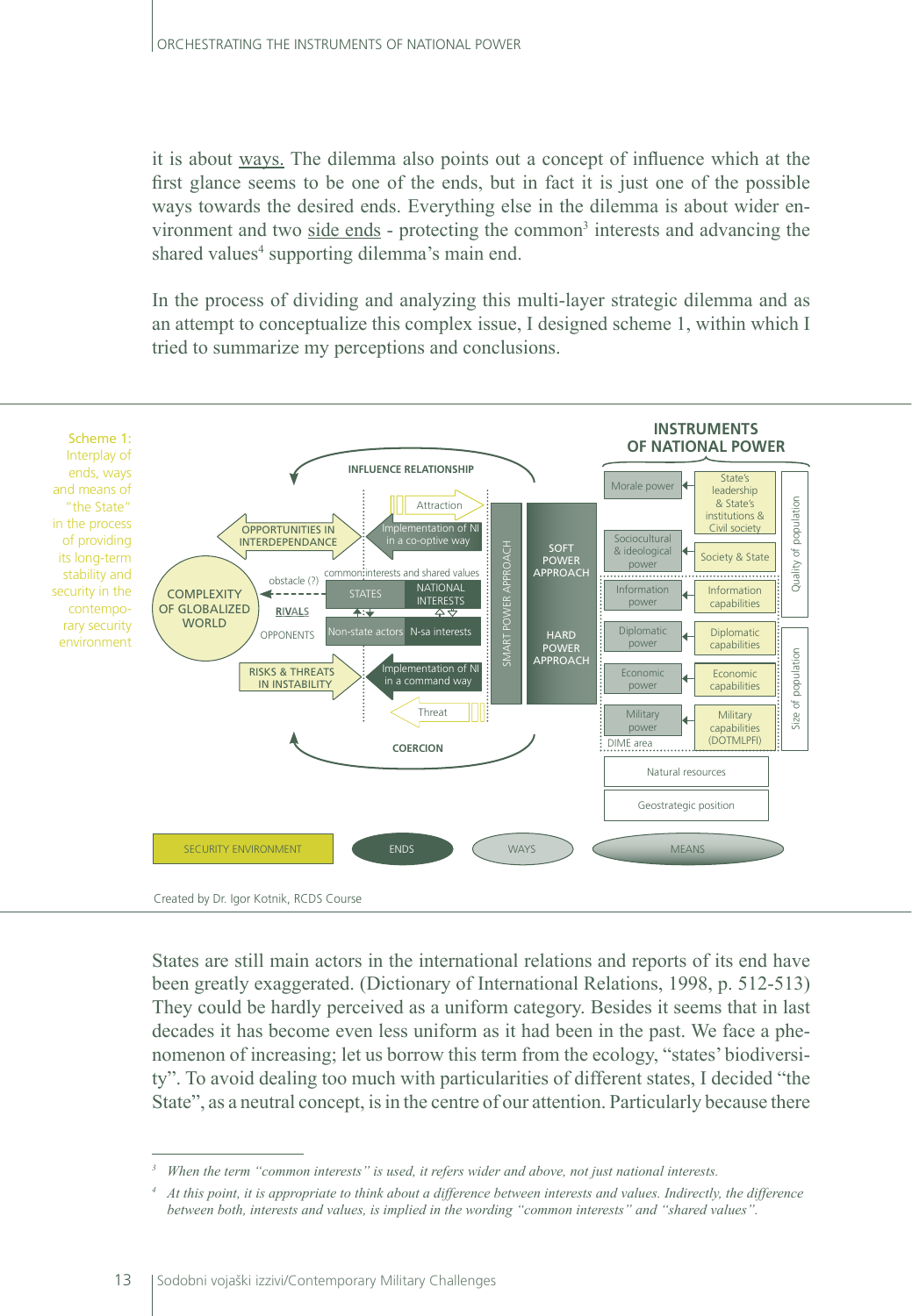it is about ways. The dilemma also points out a concept of influence which at the first glance seems to be one of the ends, but in fact it is just one of the possible ways towards the desired ends. Everything else in the dilemma is about wider environment and two side ends - protecting the common<sup>3</sup> interests and advancing the shared values<sup>4</sup> supporting dilemma's main end.

In the process of dividing and analyzing this multi-layer strategic dilemma and as an attempt to conceptualize this complex issue, I designed scheme 1, within which I tried to summarize my perceptions and conclusions.



States are still main actors in the international relations and reports of its end have been greatly exaggerated. (Dictionary of International Relations, 1998, p. 512-513) They could be hardly perceived as a uniform category. Besides it seems that in last decades it has become even less uniform as it had been in the past. We face a phenomenon of increasing; let us borrow this term from the ecology, "states' biodiversity". To avoid dealing too much with particularities of different states, I decided "the State", as a neutral concept, is in the centre of our attention. Particularly because there

*<sup>3</sup> When the term "common interests" is used, it refers wider and above, not just national interests.*

*<sup>4</sup> At this point, it is appropriate to think about a difference between interests and values. Indirectly, the difference between both, interests and values, is implied in the wording "common interests" and "shared values".*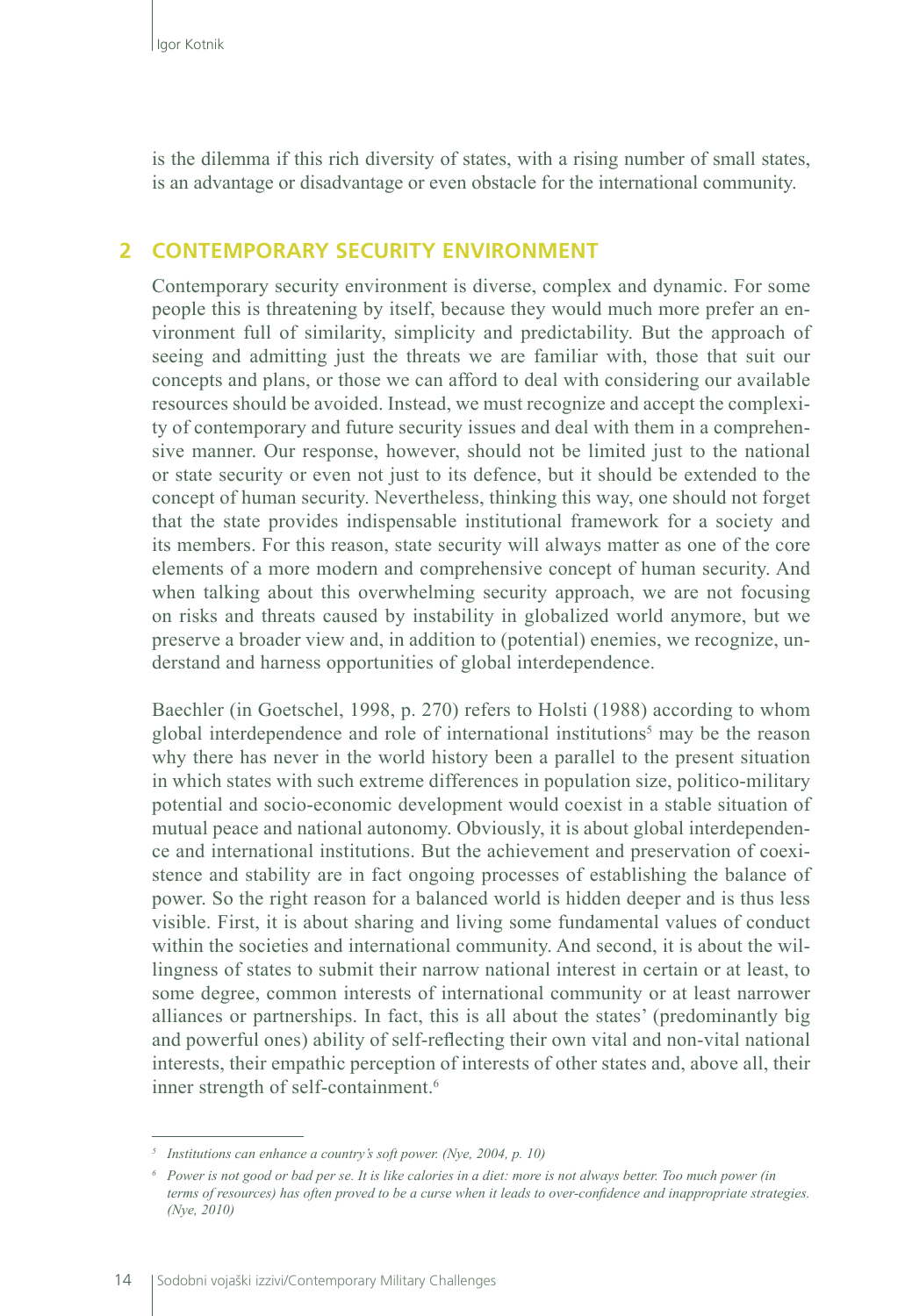is the dilemma if this rich diversity of states, with a rising number of small states, is an advantage or disadvantage or even obstacle for the international community.

## **2 CONTEMPORARY SECURITY ENVIRONMENT**

Contemporary security environment is diverse, complex and dynamic. For some people this is threatening by itself, because they would much more prefer an environment full of similarity, simplicity and predictability. But the approach of seeing and admitting just the threats we are familiar with, those that suit our concepts and plans, or those we can afford to deal with considering our available resources should be avoided. Instead, we must recognize and accept the complexity of contemporary and future security issues and deal with them in a comprehensive manner. Our response, however, should not be limited just to the national or state security or even not just to its defence, but it should be extended to the concept of human security. Nevertheless, thinking this way, one should not forget that the state provides indispensable institutional framework for a society and its members. For this reason, state security will always matter as one of the core elements of a more modern and comprehensive concept of human security. And when talking about this overwhelming security approach, we are not focusing on risks and threats caused by instability in globalized world anymore, but we preserve a broader view and, in addition to (potential) enemies, we recognize, understand and harness opportunities of global interdependence.

Baechler (in Goetschel, 1998, p. 270) refers to Holsti (1988) according to whom global interdependence and role of international institutions<sup>5</sup> may be the reason why there has never in the world history been a parallel to the present situation in which states with such extreme differences in population size, politico-military potential and socio-economic development would coexist in a stable situation of mutual peace and national autonomy. Obviously, it is about global interdependence and international institutions. But the achievement and preservation of coexistence and stability are in fact ongoing processes of establishing the balance of power. So the right reason for a balanced world is hidden deeper and is thus less visible. First, it is about sharing and living some fundamental values of conduct within the societies and international community. And second, it is about the willingness of states to submit their narrow national interest in certain or at least, to some degree, common interests of international community or at least narrower alliances or partnerships. In fact, this is all about the states' (predominantly big and powerful ones) ability of self-reflecting their own vital and non-vital national interests, their empathic perception of interests of other states and, above all, their inner strength of self-containment.<sup>6</sup>

*<sup>5</sup> Institutions can enhance a country's soft power. (Nye, 2004, p. 10)*

*<sup>6</sup> Power is not good or bad per se. It is like calories in a diet: more is not always better. Too much power (in terms of resources) has often proved to be a curse when it leads to over-confidence and inappropriate strategies. (Nye, 2010)*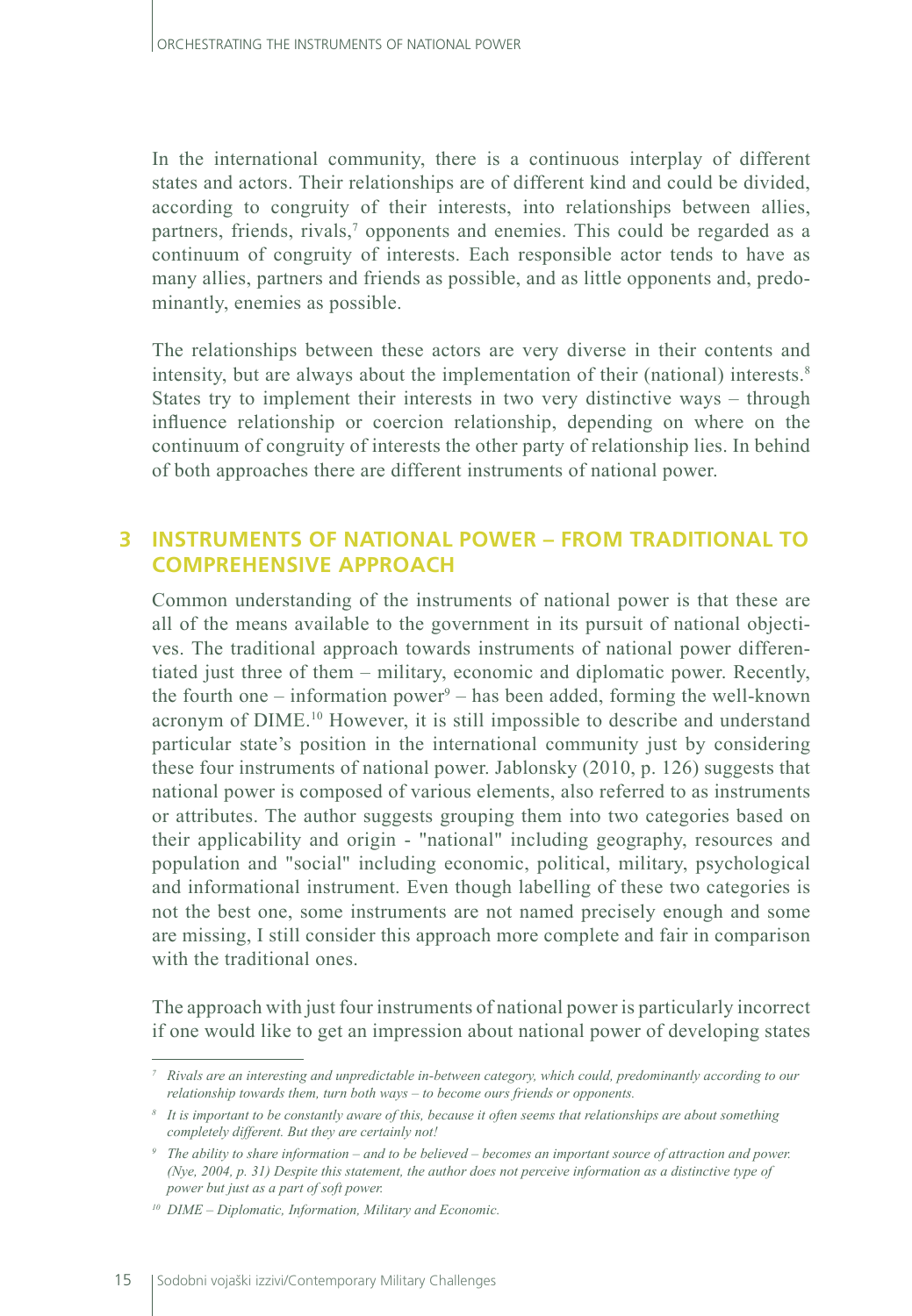In the international community, there is a continuous interplay of different states and actors. Their relationships are of different kind and could be divided, according to congruity of their interests, into relationships between allies, partners, friends, rivals,<sup>7</sup> opponents and enemies. This could be regarded as a continuum of congruity of interests. Each responsible actor tends to have as many allies, partners and friends as possible, and as little opponents and, predominantly, enemies as possible.

The relationships between these actors are very diverse in their contents and intensity, but are always about the implementation of their (national) interests.<sup>8</sup> States try to implement their interests in two very distinctive ways – through influence relationship or coercion relationship, depending on where on the continuum of congruity of interests the other party of relationship lies. In behind of both approaches there are different instruments of national power.

## **3 INSTRUMENTS OF NATIONAL POWER – FROM TRADITIONAL TO COMPREHENSIVE APPROACH**

Common understanding of the instruments of national power is that these are all of the means available to the government in its pursuit of national objectives. The traditional approach towards instruments of national power differentiated just three of them – military, economic and diplomatic power. Recently, the fourth one – information power<sup>9</sup> – has been added, forming the well-known acronym of DIME.10 However, it is still impossible to describe and understand particular state's position in the international community just by considering these four instruments of national power. Jablonsky (2010, p. 126) suggests that national power is composed of various elements, also referred to as instruments or attributes. The author suggests grouping them into two categories based on their applicability and origin - "national" including geography, resources and population and "social" including economic, political, military, psychological and informational instrument. Even though labelling of these two categories is not the best one, some instruments are not named precisely enough and some are missing, I still consider this approach more complete and fair in comparison with the traditional ones.

The approach with just four instruments of national power is particularly incorrect if one would like to get an impression about national power of developing states

*<sup>7</sup> Rivals are an interesting and unpredictable in-between category, which could, predominantly according to our relationship towards them, turn both ways – to become ours friends or opponents.*

*<sup>8</sup> It is important to be constantly aware of this, because it often seems that relationships are about something completely different. But they are certainly not!*

*<sup>9</sup> The ability to share information – and to be believed – becomes an important source of attraction and power. (Nye, 2004, p. 31) Despite this statement, the author does not perceive information as a distinctive type of power but just as a part of soft power.*

*<sup>10</sup> DIME – Diplomatic, Information, Military and Economic.*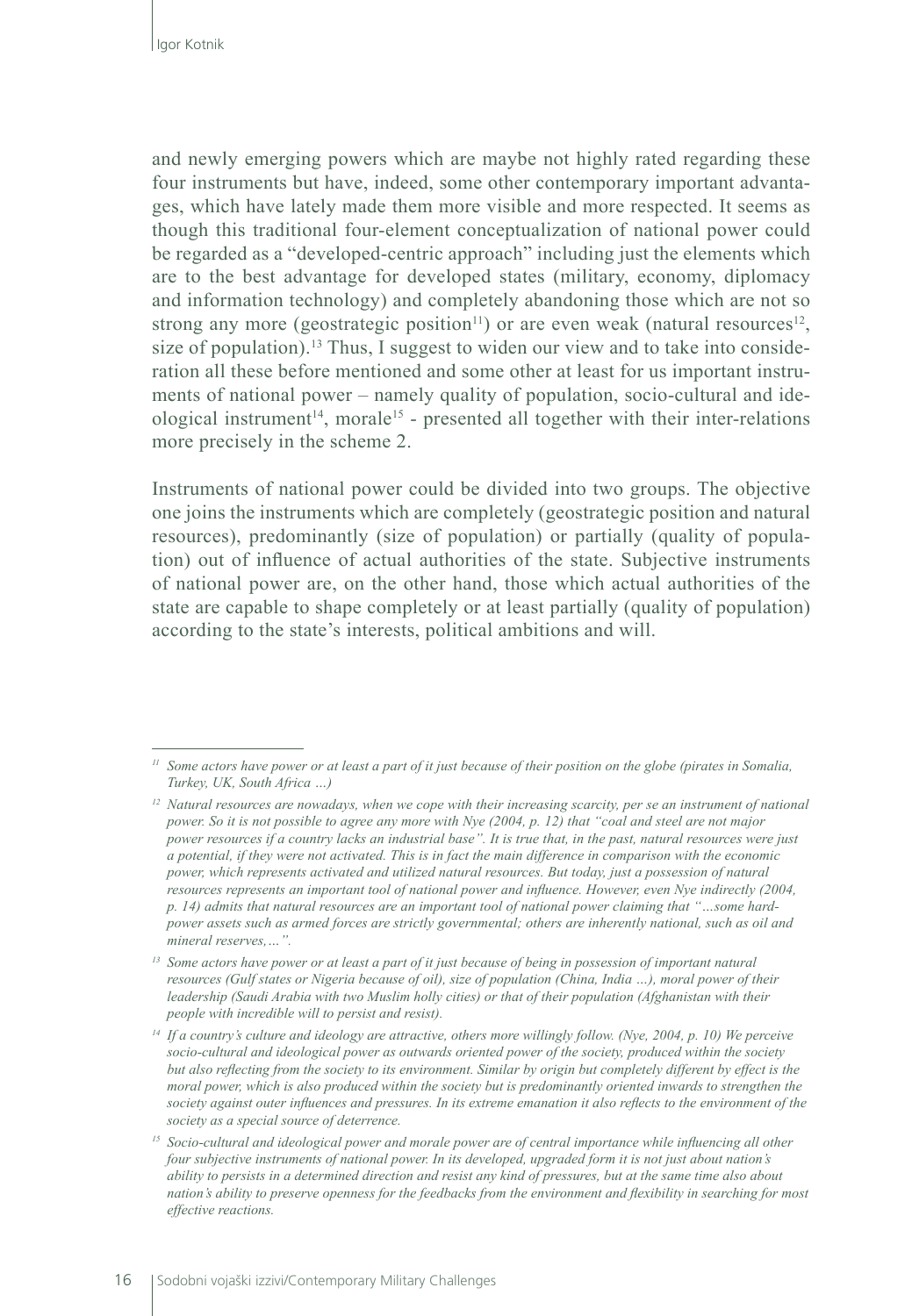and newly emerging powers which are maybe not highly rated regarding these four instruments but have, indeed, some other contemporary important advantages, which have lately made them more visible and more respected. It seems as though this traditional four-element conceptualization of national power could be regarded as a "developed-centric approach" including just the elements which are to the best advantage for developed states (military, economy, diplomacy and information technology) and completely abandoning those which are not so strong any more (geostrategic position<sup>11</sup>) or are even weak (natural resources<sup>12</sup>, size of population).<sup>13</sup> Thus, I suggest to widen our view and to take into consideration all these before mentioned and some other at least for us important instruments of national power – namely quality of population, socio-cultural and ideological instrument<sup>14</sup>, morale<sup>15</sup> - presented all together with their inter-relations more precisely in the scheme 2.

Instruments of national power could be divided into two groups. The objective one joins the instruments which are completely (geostrategic position and natural resources), predominantly (size of population) or partially (quality of population) out of influence of actual authorities of the state. Subjective instruments of national power are, on the other hand, those which actual authorities of the state are capable to shape completely or at least partially (quality of population) according to the state's interests, political ambitions and will.

*<sup>11</sup> Some actors have power or at least a part of it just because of their position on the globe (pirates in Somalia, Turkey, UK, South Africa …)* 

*<sup>12</sup> Natural resources are nowadays, when we cope with their increasing scarcity, per se an instrument of national power. So it is not possible to agree any more with Nye (2004, p. 12) that "coal and steel are not major power resources if a country lacks an industrial base". It is true that, in the past, natural resources were just a potential, if they were not activated. This is in fact the main difference in comparison with the economic power, which represents activated and utilized natural resources. But today, just a possession of natural resources represents an important tool of national power and influence. However, even Nye indirectly (2004, p. 14) admits that natural resources are an important tool of national power claiming that "…some hardpower assets such as armed forces are strictly governmental; others are inherently national, such as oil and mineral reserves,…".*

*<sup>13</sup> Some actors have power or at least a part of it just because of being in possession of important natural resources (Gulf states or Nigeria because of oil), size of population (China, India …), moral power of their leadership (Saudi Arabia with two Muslim holly cities) or that of their population (Afghanistan with their people with incredible will to persist and resist).*

*<sup>14</sup> If a country's culture and ideology are attractive, others more willingly follow. (Nye, 2004, p. 10) We perceive socio-cultural and ideological power as outwards oriented power of the society, produced within the society but also reflecting from the society to its environment. Similar by origin but completely different by effect is the moral power, which is also produced within the society but is predominantly oriented inwards to strengthen the society against outer influences and pressures. In its extreme emanation it also reflects to the environment of the society as a special source of deterrence.* 

*<sup>15</sup> Socio-cultural and ideological power and morale power are of central importance while influencing all other four subjective instruments of national power. In its developed, upgraded form it is not just about nation's ability to persists in a determined direction and resist any kind of pressures, but at the same time also about nation's ability to preserve openness for the feedbacks from the environment and flexibility in searching for most effective reactions.*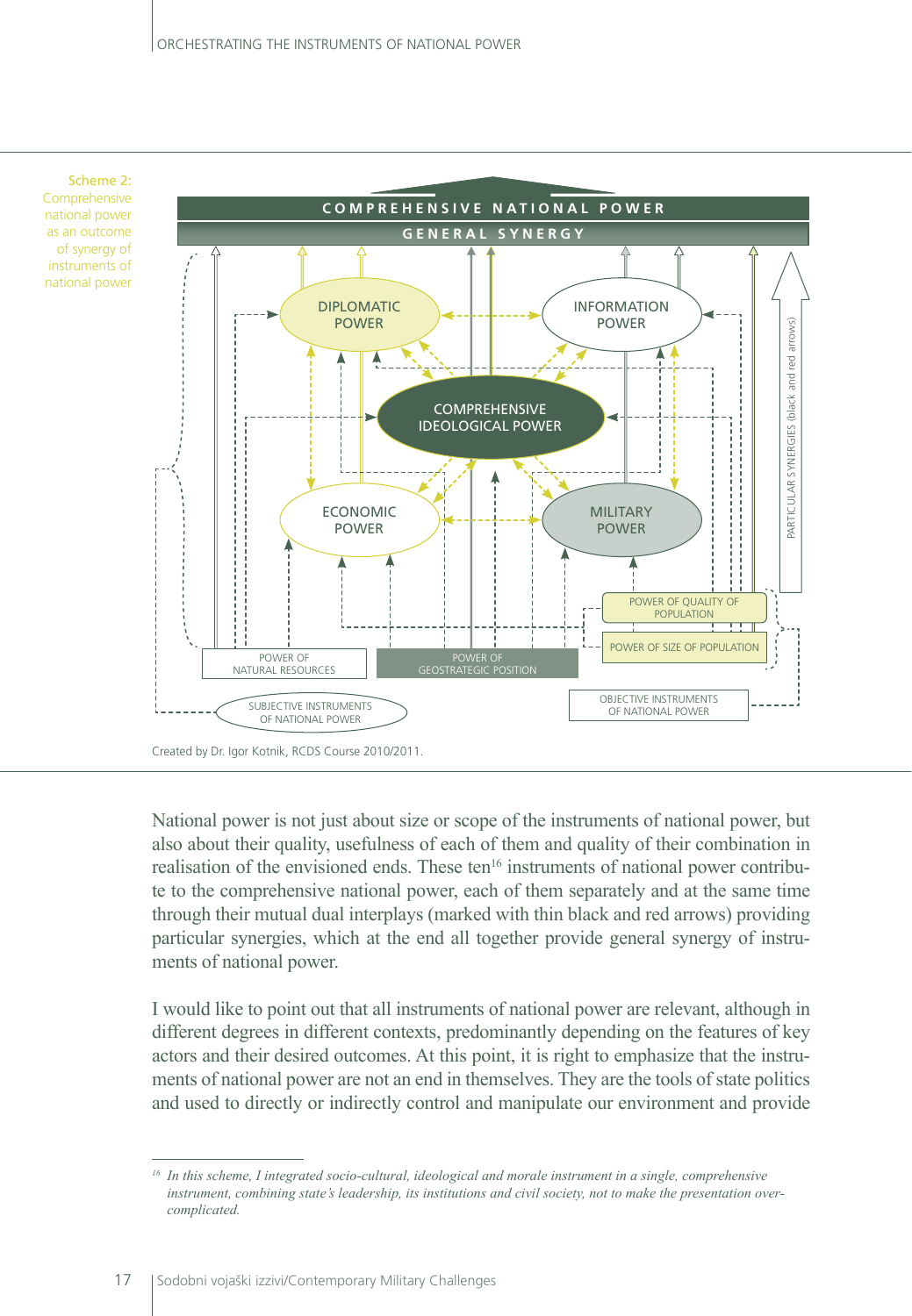

National power is not just about size or scope of the instruments of national power, but also about their quality, usefulness of each of them and quality of their combination in realisation of the envisioned ends. These ten<sup>16</sup> instruments of national power contribute to the comprehensive national power, each of them separately and at the same time through their mutual dual interplays (marked with thin black and red arrows) providing particular synergies, which at the end all together provide general synergy of instruments of national power.

I would like to point out that all instruments of national power are relevant, although in different degrees in different contexts, predominantly depending on the features of key actors and their desired outcomes. At this point, it is right to emphasize that the instruments of national power are not an end in themselves. They are the tools of state politics and used to directly or indirectly control and manipulate our environment and provide

*<sup>16</sup> In this scheme, I integrated socio-cultural, ideological and morale instrument in a single, comprehensive instrument, combining state's leadership, its institutions and civil society, not to make the presentation overcomplicated.*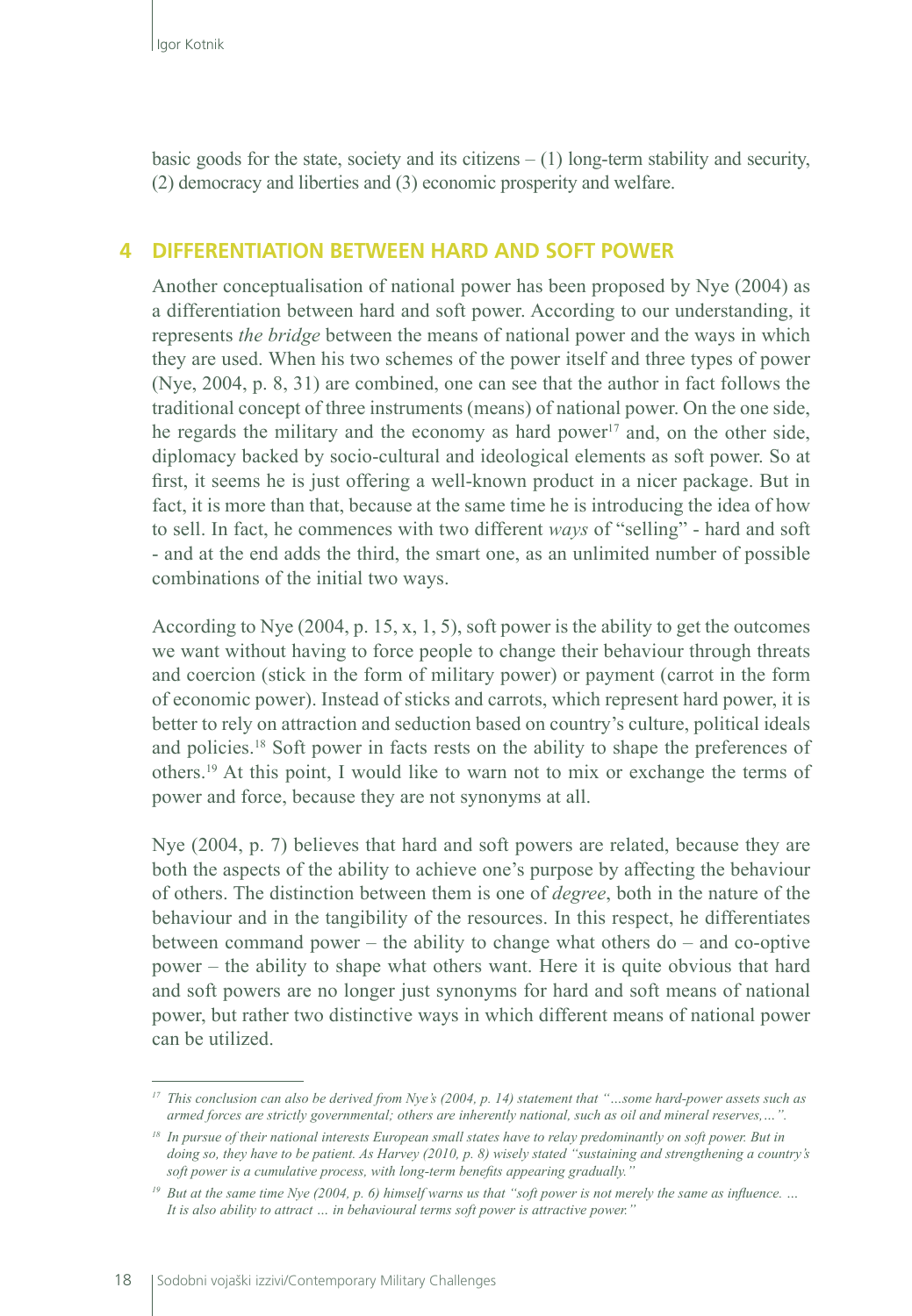basic goods for the state, society and its citizens  $- (1)$  long-term stability and security, (2) democracy and liberties and (3) economic prosperity and welfare.

#### **4 DIFFERENTIATION BETWEEN HARD AND SOFT POWER**

Another conceptualisation of national power has been proposed by Nye (2004) as a differentiation between hard and soft power. According to our understanding, it represents *the bridge* between the means of national power and the ways in which they are used. When his two schemes of the power itself and three types of power (Nye, 2004, p. 8, 31) are combined, one can see that the author in fact follows the traditional concept of three instruments (means) of national power. On the one side, he regards the military and the economy as hard power $17$  and, on the other side, diplomacy backed by socio-cultural and ideological elements as soft power. So at first, it seems he is just offering a well-known product in a nicer package. But in fact, it is more than that, because at the same time he is introducing the idea of how to sell. In fact, he commences with two different *ways* of "selling" - hard and soft - and at the end adds the third, the smart one, as an unlimited number of possible combinations of the initial two ways.

According to Nye (2004, p. 15, x, 1, 5), soft power is the ability to get the outcomes we want without having to force people to change their behaviour through threats and coercion (stick in the form of military power) or payment (carrot in the form of economic power). Instead of sticks and carrots, which represent hard power, it is better to rely on attraction and seduction based on country's culture, political ideals and policies.18 Soft power in facts rests on the ability to shape the preferences of others.19 At this point, I would like to warn not to mix or exchange the terms of power and force, because they are not synonyms at all.

Nye (2004, p. 7) believes that hard and soft powers are related, because they are both the aspects of the ability to achieve one's purpose by affecting the behaviour of others. The distinction between them is one of *degree*, both in the nature of the behaviour and in the tangibility of the resources. In this respect, he differentiates between command power – the ability to change what others do – and co-optive power – the ability to shape what others want. Here it is quite obvious that hard and soft powers are no longer just synonyms for hard and soft means of national power, but rather two distinctive ways in which different means of national power can be utilized.

*<sup>17</sup> This conclusion can also be derived from Nye's (2004, p. 14) statement that "…some hard-power assets such as armed forces are strictly governmental; others are inherently national, such as oil and mineral reserves,…".*

*<sup>18</sup> In pursue of their national interests European small states have to relay predominantly on soft power. But in doing so, they have to be patient. As Harvey (2010, p. 8) wisely stated "sustaining and strengthening a country's soft power is a cumulative process, with long-term benefits appearing gradually."*

*<sup>19</sup> But at the same time Nye (2004, p. 6) himself warns us that "soft power is not merely the same as influence. … It is also ability to attract … in behavioural terms soft power is attractive power."*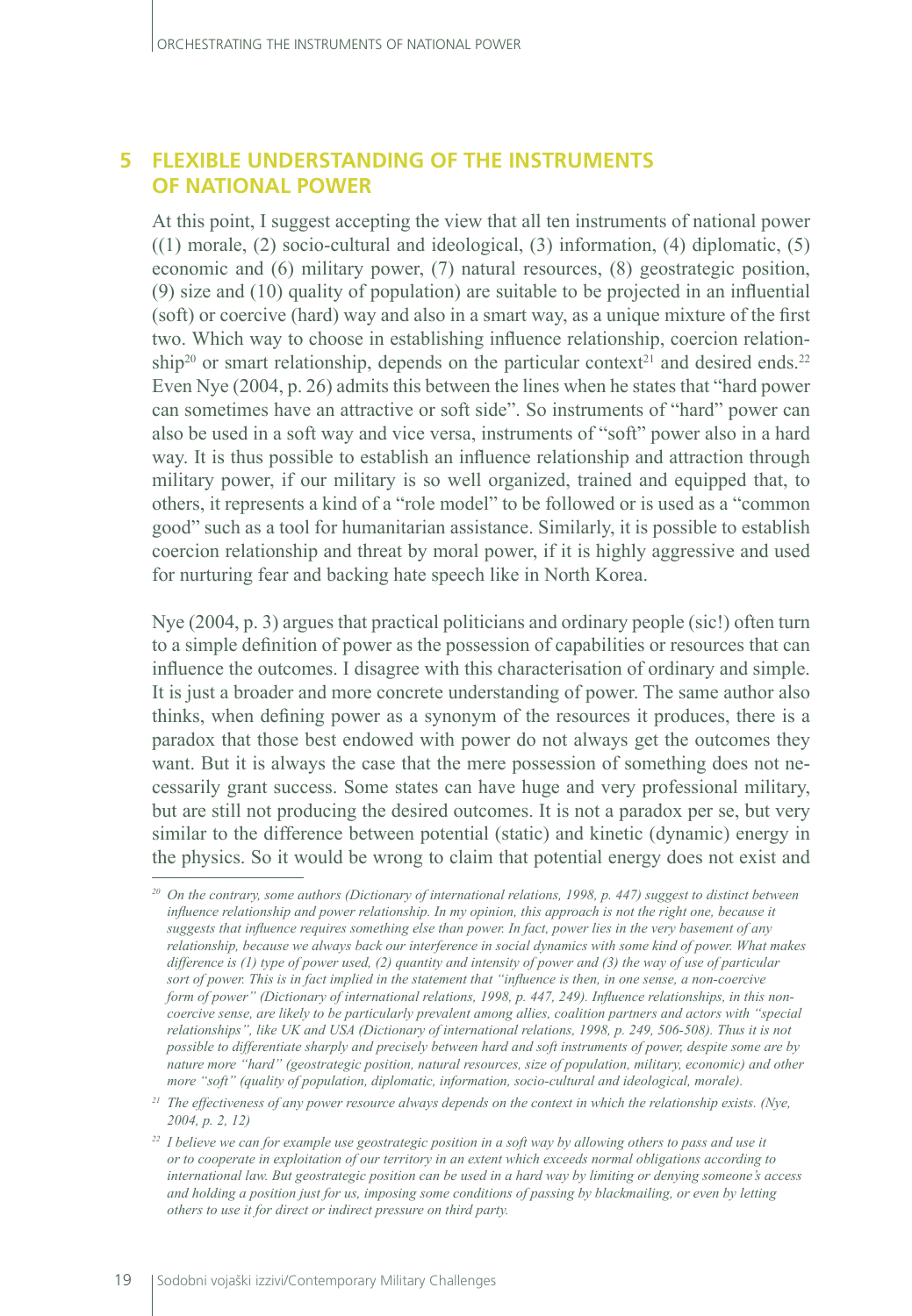## **5 FLEXIBLE UNDERSTANDING OF THE INSTRUMENTS OF NATIONAL POWER**

At this point, I suggest accepting the view that all ten instruments of national power  $((1)$  morale,  $(2)$  socio-cultural and ideological,  $(3)$  information,  $(4)$  diplomatic,  $(5)$ economic and (6) military power, (7) natural resources, (8) geostrategic position, (9) size and (10) quality of population) are suitable to be projected in an influential (soft) or coercive (hard) way and also in a smart way, as a unique mixture of the first two. Which way to choose in establishing influence relationship, coercion relationship<sup>20</sup> or smart relationship, depends on the particular context<sup>21</sup> and desired ends.<sup>22</sup> Even Nye (2004, p. 26) admits this between the lines when he states that "hard power can sometimes have an attractive or soft side". So instruments of "hard" power can also be used in a soft way and vice versa, instruments of "soft" power also in a hard way. It is thus possible to establish an influence relationship and attraction through military power, if our military is so well organized, trained and equipped that, to others, it represents a kind of a "role model" to be followed or is used as a "common good" such as a tool for humanitarian assistance. Similarly, it is possible to establish coercion relationship and threat by moral power, if it is highly aggressive and used for nurturing fear and backing hate speech like in North Korea.

Nye (2004, p. 3) argues that practical politicians and ordinary people (sic!) often turn to a simple definition of power as the possession of capabilities or resources that can influence the outcomes. I disagree with this characterisation of ordinary and simple. It is just a broader and more concrete understanding of power. The same author also thinks, when defining power as a synonym of the resources it produces, there is a paradox that those best endowed with power do not always get the outcomes they want. But it is always the case that the mere possession of something does not necessarily grant success. Some states can have huge and very professional military, but are still not producing the desired outcomes. It is not a paradox per se, but very similar to the difference between potential (static) and kinetic (dynamic) energy in the physics. So it would be wrong to claim that potential energy does not exist and

*<sup>20</sup> On the contrary, some authors (Dictionary of international relations, 1998, p. 447) suggest to distinct between influence relationship and power relationship. In my opinion, this approach is not the right one, because it suggests that influence requires something else than power. In fact, power lies in the very basement of any relationship, because we always back our interference in social dynamics with some kind of power. What makes difference is (1) type of power used, (2) quantity and intensity of power and (3) the way of use of particular sort of power. This is in fact implied in the statement that "influence is then, in one sense, a non-coercive form of power" (Dictionary of international relations, 1998, p. 447, 249). Influence relationships, in this noncoercive sense, are likely to be particularly prevalent among allies, coalition partners and actors with "special relationships", like UK and USA (Dictionary of international relations, 1998, p. 249, 506-508). Thus it is not possible to differentiate sharply and precisely between hard and soft instruments of power, despite some are by nature more "hard" (geostrategic position, natural resources, size of population, military, economic) and other more "soft" (quality of population, diplomatic, information, socio-cultural and ideological, morale).*

*<sup>21</sup> The effectiveness of any power resource always depends on the context in which the relationship exists. (Nye, 2004, p. 2, 12)* 

*<sup>22</sup> I believe we can for example use geostrategic position in a soft way by allowing others to pass and use it or to cooperate in exploitation of our territory in an extent which exceeds normal obligations according to international law. But geostrategic position can be used in a hard way by limiting or denying someone's access and holding a position just for us, imposing some conditions of passing by blackmailing, or even by letting others to use it for direct or indirect pressure on third party.*